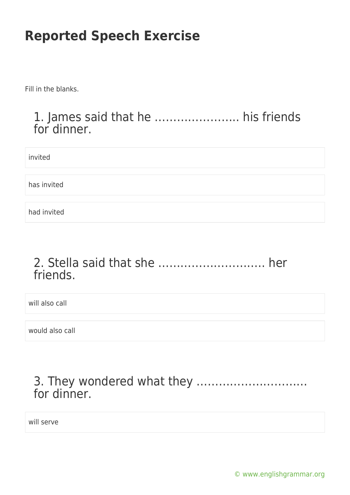Fill in the blanks.

### 1. James said that he ………………….. his friends for dinner.

invited

has invited

had invited

## 2. Stella said that she ……………………….. her friends.

will also call

would also call

## 3. They wondered what they ………………………… for dinner.

will serve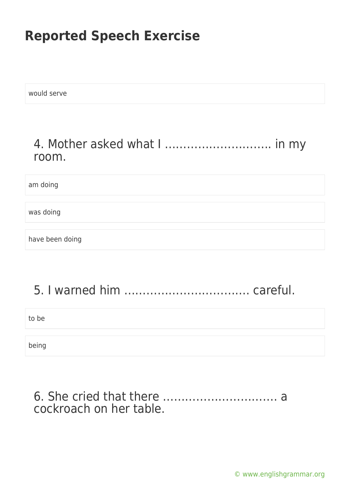would serve

## 4. Mother asked what I ……………………….. in my room.

am doing

was doing

have been doing

## 5. I warned him ……………………………. careful.

to be

being

#### 6. She cried that there …………………………. a cockroach on her table.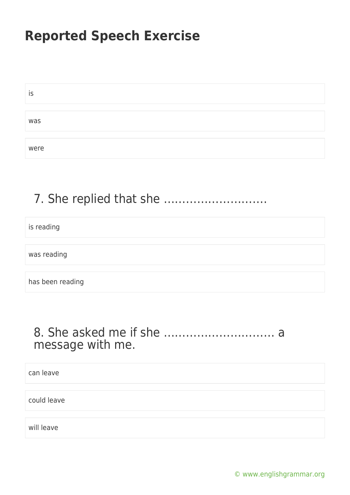| IS   |  |
|------|--|
|      |  |
| was  |  |
|      |  |
| were |  |

## 7. She replied that she ……………………….

is reading

was reading

has been reading

## 8. She asked me if she ………………………… a message with me.

can leave

could leave

will leave

[© www.englishgrammar.org](https://www.englishgrammar.org/)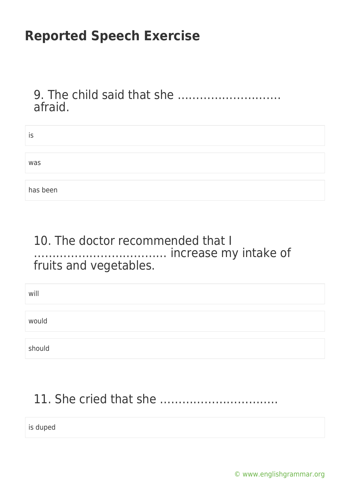9. The child said that she ………………………. afraid.

| is       |  |
|----------|--|
|          |  |
| was      |  |
|          |  |
| has been |  |

#### 10. The doctor recommended that I ……………………………… increase my intake of fruits and vegetables.

| will   |  |
|--------|--|
|        |  |
| would  |  |
|        |  |
| should |  |

# 11. She cried that she …………………………..

is duped